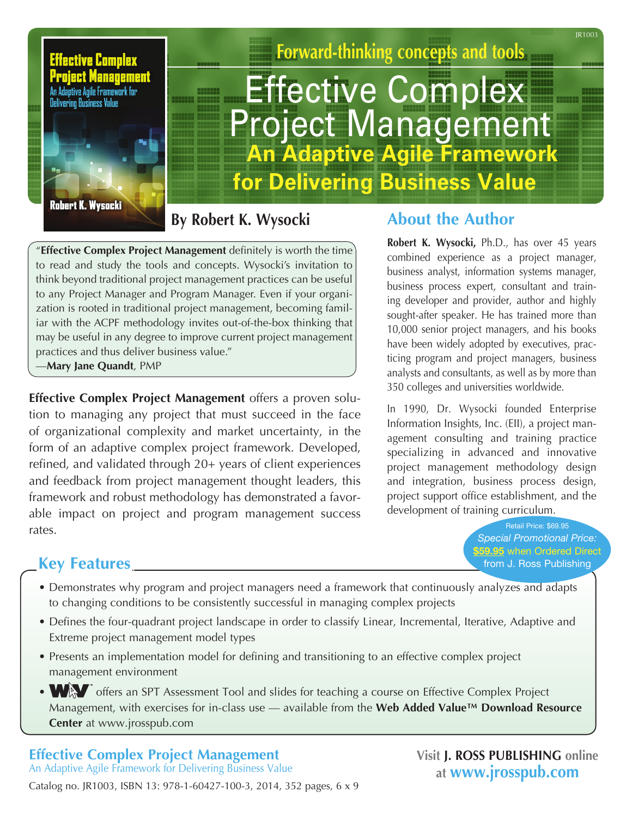JR1003



**Forward-thinking concepts and tools** 

# **Effective Complex**  Project Management **An Adaptive Agile Framework for Delivering Business Value**

**By Robert K. Wysocki**

"**Effective Complex Project Management** definitely is worth the time to read and study the tools and concepts. Wysocki's invitation to think beyond traditional project management practices can be useful to any Project Manager and Program Manager. Even if your organization is rooted in traditional project management, becoming familiar with the ACPF methodology invites out-of-the-box thinking that may be useful in any degree to improve current project management practices and thus deliver business value."

—**Mary Jane Quandt**, PMP

**Effective Complex Project Management** offers a proven solution to managing any project that must succeed in the face of organizational complexity and market uncertainty, in the form of an adaptive complex project framework. Developed, refined, and validated through 20+ years of client experiences and feedback from project management thought leaders, this framework and robust methodology has demonstrated a favorable impact on project and program management success rates.

#### **About the Author**

**Robert K. Wysocki,** Ph.D., has over 45 years combined experience as a project manager, business analyst, information systems manager, business process expert, consultant and training developer and provider, author and highly sought-after speaker. He has trained more than 10,000 senior project managers, and his books have been widely adopted by executives, practicing program and project managers, business analysts and consultants, as well as by more than 350 colleges and universities worldwide.

In 1990, Dr. Wysocki founded Enterprise Information Insights, Inc. (EII), a project management consulting and training practice specializing in advanced and innovative project management methodology design and integration, business process design, project support office establishment, and the development of training curriculum.

> Retail Price: \$69.95 *Special Promotional Price:*  \$59.95 when Ordered Direct from J. Ross Publishing

### **Key Features**

- Demonstrates why program and project managers need a framework that continuously analyzes and adapts to changing conditions to be consistently successful in managing complex projects
- Defines the four-quadrant project landscape in order to classify Linear, Incremental, Iterative, Adaptive and Extreme project management model types
- Presents an implementation model for defining and transitioning to an effective complex project management environment
- WAV offers an SPT Assessment Tool and slides for teaching a course on Effective Complex Project Management, with exercises for in-class use — available from the **Web Added Value™ Download Resource Center** at www.jrosspub.com

#### **Effective Complex Project Management**

An Adaptive Agile Framework for Delivering Business Value Catalog no. JR1003, ISBN 13: 978-1-60427-100-3, 2014, 352 pages, 6 x 9 **Visit J. ROSS PUBLISHING online at www.jrosspub.com**